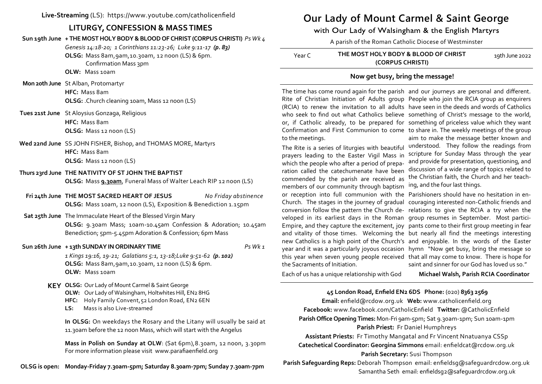**Live-Streaming** (LS): https://www.youtube.com/catholicenfield

# **LITURGY, CONFESSION & MASS TIMES**

**Sun 19th June + THE MOST HOLY BODY & BLOOD OF CHRIST (CORPUS CHRISTI)** *Ps Wk 4*

*Genesis 14:18-20; 1 Corinthians 11:23-26; Luke 9:11-17 (p. 83)*

**OLSG:** Mass 8am,9am,10.30am, 12 noon (LS) & 6pm.

Confirmation Mass 3pm

**OLW:** Mass 10am

 **Mon 20th June** St Alban, Protomartyr **HFC:** Mass 8am **OLSG:** .Church cleaning 10am, Mass 12 noon (LS)

**Tues 21st June** St Aloysius Gonzaga, Religious **HFC:** Mass 8am **OLSG:** Mass 12 noon (LS)

## **Wed 22nd June** SS JOHN FISHER, Bishop, and THOMAS MORE, Martyrs **HFC:** Mass 8am **OLSG:** Mass 12 noon (LS)

#### **Thurs 23rd June THE NATIVITY OF ST JOHN THE BAPTIST**

**OLSG:** Mass **9.30am**, Funeral Mass of Walter Leach RIP 12 noon (LS)

**Fri 24th June THE MOST SACRED HEART OF JESUS** *No Friday abstinence* **OLSG:** Mass 10am, 12 noon (LS), Exposition & Benediction 1.15pm

**Sat 25th June** The Immaculate Heart of the Blessed Virgin Mary

**OLSG:** 9.30am Mass; 10am-10.45am Confession & Adoration; 10.45am Benediction; 5pm-5.45pm Adoration & Confession; 6pm Mass

**Sun 26th June + 13th SUNDAY IN ORDINARY TIME** *Ps Wk 1*

*1 Kings 19:16, 19-21; Galatians 5:1, 13-18;Luke 9:51-62 (p. 102)* **OLSG:** Mass 8am,9am,10.30am, 12 noon (LS) & 6pm. **OLW:** Mass 10am

- **KEY OLSG:** Our Lady of Mount Carmel & Saint George **OLW:** Our Lady of Walsingham, Holtwhites Hill, EN2 8HG **HFC:** Holy Family Convent,52 London Road, EN2 6EN
	- **LS:** Mass is also Live-streamed

**In OLSG:** On weekdays the Rosary and the Litany will usually be said at 11.30am before the 12 noon Mass, which will start with the Angelus

**Mass in Polish on Sunday at OLW**: (Sat 6pm),8.30am, 12 noon, 3.30pm For more information please visit www.parafiaenfield.org

**OLSG is open: Monday-Friday 7.30am-5pm; Saturday 8.30am-7pm; Sunday 7.30am-7pm**

# **Our Lady of Mount Carmel & Saint George**

with Our Lady of Walsingham & the English Martyrs

A parish of the Roman Catholic Diocese of Westminster

| Year C | THE MOST HOLY BODY & BLOOD OF CHRIST | 19th June 2022 |
|--------|--------------------------------------|----------------|
|        | (CORPUS CHRISTI)                     |                |

## **Now get busy, bring the message!**

The time has come round again for the parish and our journeys are personal and different. Rite of Christian Initiation of Adults group People who join the RCIA group as enquirers (RCIA) to renew the invitation to all adults have seen in the deeds and words of Catholics who seek to find out what Catholics believe something of Christ's message to the world, or, if Catholic already, to be prepared for something of priceless value which they want Confirmation and First Communion to come to share in. The weekly meetings of the group to the meetings.

prayers leading to the Easter Vigil Mass in which the people who after a period of preparation called the catechumenate have been commended by the parish are received as members of our community through baptism or reception into full communion with the Parishioners should have no hesitation in enveloped in its earliest days in the Roman group resumes in September. Most particithe Sacraments of Initiation.

The Rite is a series of liturgies with beautiful understood. They follow the readings from aim to make the message better known and scripture for Sunday Mass through the year and provide for presentation, questioning, and discussion of a wide range of topics related to the Christian faith, the Church and her teaching, and the four last things.

Church. The stages in the journey of gradual couraging interested non-Catholic friends and conversion follow the pattern the Church de-relations to give the RCIA a try when the Empire, and they capture the excitement, joy pants come to their first group meeting in fear and vitality of those times. Welcoming the but nearly all find the meetings interesting new Catholics is a high point of the Church's and enjoyable. In the words of the Easter year and it was a particularly joyous occasion hymn "Now get busy, bring the message so this year when seven young people received that all may come to know. There is hope for saint and sinner for our God has loved us so."

Each of us has a unique relationship with God

**Michael Walsh, Parish RCIA Coordinator** 

# **45 London Road, Enfield EN2 6DS Phone:** (020) **8363 2569**

**Email:** enfield@rcdow.org.uk **Web:** www.catholicenfield.org **Facebook:** www.facebook.com/CatholicEnfield **Twitter:** @CatholicEnfield **Parish Office Opening Times:** Mon-Fri 9am-5pm; Sat 9.30am-1pm; Sun 10am-1pm **Parish Priest:** Fr Daniel Humphreys

**Assistant Priests:** Fr Timothy Mangatal and Fr Vincent Nnatuanya CSSp **Catechetical Coordinator: Georgina Simmons** email: enfieldcat@rcdow.org.uk **Parish Secretary:** Susi Thompson

**Parish Safeguarding Reps:** Deborah Thompson email: enfieldsg@safeguardrcdow.org.uk Samantha Seth email: enfieldsg2@safeguardrcdow.org.uk